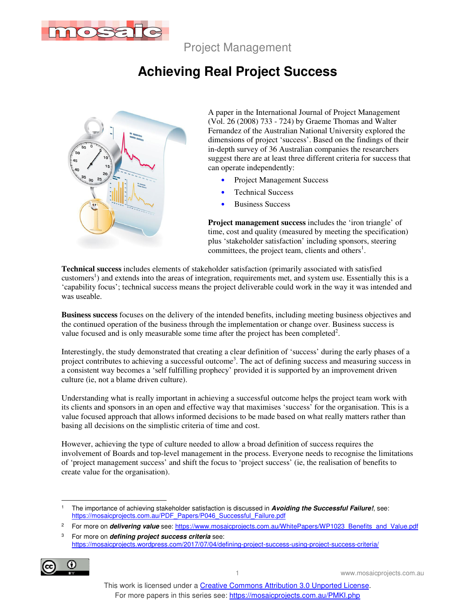

Project Management

## **Achieving Real Project Success**



A paper in the International Journal of Project Management (Vol. 26 (2008) 733 - 724) by Graeme Thomas and Walter Fernandez of the Australian National University explored the dimensions of project 'success'. Based on the findings of their in-depth survey of 36 Australian companies the researchers suggest there are at least three different criteria for success that can operate independently:

- Project Management Success
- Technical Success
- Business Success

**Project management success** includes the 'iron triangle' of time, cost and quality (measured by meeting the specification) plus 'stakeholder satisfaction' including sponsors, steering committees, the project team, clients and others<sup>1</sup>.

**Technical success** includes elements of stakeholder satisfaction (primarily associated with satisfied customers<sup>1</sup>) and extends into the areas of integration, requirements met, and system use. Essentially this is a 'capability focus'; technical success means the project deliverable could work in the way it was intended and was useable.

**Business success** focuses on the delivery of the intended benefits, including meeting business objectives and the continued operation of the business through the implementation or change over. Business success is value focused and is only measurable some time after the project has been completed<sup>2</sup>.

Interestingly, the study demonstrated that creating a clear definition of 'success' during the early phases of a project contributes to achieving a successful outcome<sup>3</sup>. The act of defining success and measuring success in a consistent way becomes a 'self fulfilling prophecy' provided it is supported by an improvement driven culture (ie, not a blame driven culture).

Understanding what is really important in achieving a successful outcome helps the project team work with its clients and sponsors in an open and effective way that maximises 'success' for the organisation. This is a value focused approach that allows informed decisions to be made based on what really matters rather than basing all decisions on the simplistic criteria of time and cost.

However, achieving the type of culture needed to allow a broad definition of success requires the involvement of Boards and top-level management in the process. Everyone needs to recognise the limitations of 'project management success' and shift the focus to 'project success' (ie, the realisation of benefits to create value for the organisation).

<sup>3</sup> For more on **defining project success criteria** see: https://mosaicprojects.wordpress.com/2017/07/04/defining-project-success-using-project-success-criteria/



1 www.mosaicprojects.com.au

 $\ddot{\phantom{a}}$ 1 The importance of achieving stakeholder satisfaction is discussed in **Avoiding the Successful Failure!**, see: https://mosaicprojects.com.au/PDF\_Papers/P046\_Successful\_Failure.pdf

<sup>2</sup> For more on **delivering value** see: https://www.mosaicprojects.com.au/WhitePapers/WP1023\_Benefits\_and\_Value.pdf